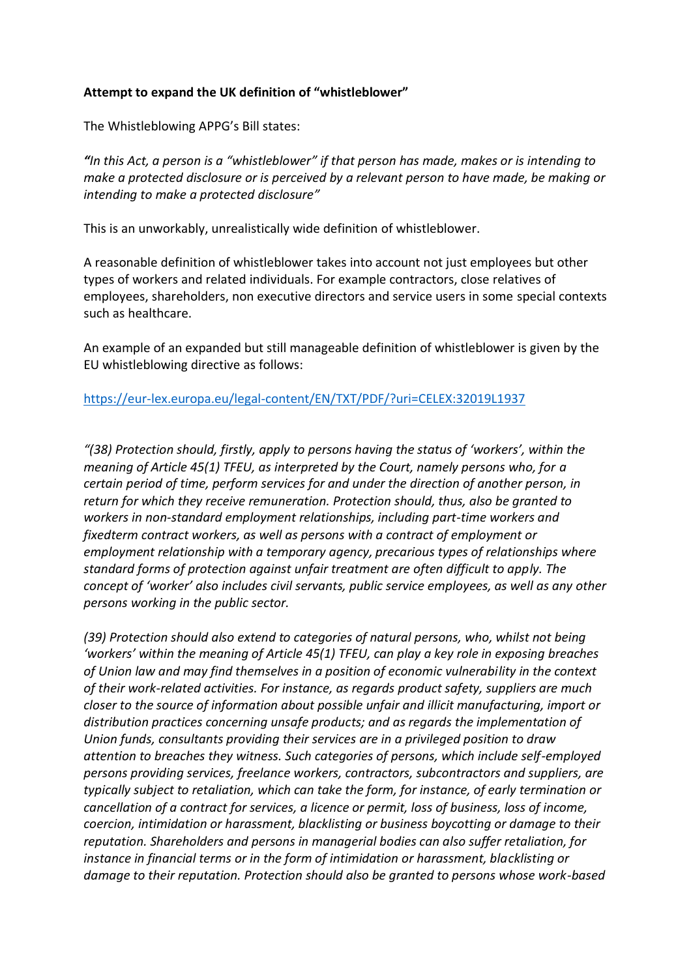## **Attempt to expand the UK definition of "whistleblower"**

The Whistleblowing APPG's Bill states:

*"In this Act, a person is a "whistleblower" if that person has made, makes or is intending to make a protected disclosure or is perceived by a relevant person to have made, be making or intending to make a protected disclosure"*

This is an unworkably, unrealistically wide definition of whistleblower.

A reasonable definition of whistleblower takes into account not just employees but other types of workers and related individuals. For example contractors, close relatives of employees, shareholders, non executive directors and service users in some special contexts such as healthcare.

An example of an expanded but still manageable definition of whistleblower is given by the EU whistleblowing directive as follows:

## <https://eur-lex.europa.eu/legal-content/EN/TXT/PDF/?uri=CELEX:32019L1937>

*"(38) Protection should, firstly, apply to persons having the status of 'workers', within the meaning of Article 45(1) TFEU, as interpreted by the Court, namely persons who, for a certain period of time, perform services for and under the direction of another person, in return for which they receive remuneration. Protection should, thus, also be granted to workers in non-standard employment relationships, including part-time workers and fixedterm contract workers, as well as persons with a contract of employment or employment relationship with a temporary agency, precarious types of relationships where standard forms of protection against unfair treatment are often difficult to apply. The concept of 'worker' also includes civil servants, public service employees, as well as any other persons working in the public sector.* 

*(39) Protection should also extend to categories of natural persons, who, whilst not being 'workers' within the meaning of Article 45(1) TFEU, can play a key role in exposing breaches of Union law and may find themselves in a position of economic vulnerability in the context of their work-related activities. For instance, as regards product safety, suppliers are much closer to the source of information about possible unfair and illicit manufacturing, import or distribution practices concerning unsafe products; and as regards the implementation of Union funds, consultants providing their services are in a privileged position to draw attention to breaches they witness. Such categories of persons, which include self-employed persons providing services, freelance workers, contractors, subcontractors and suppliers, are typically subject to retaliation, which can take the form, for instance, of early termination or cancellation of a contract for services, a licence or permit, loss of business, loss of income, coercion, intimidation or harassment, blacklisting or business boycotting or damage to their reputation. Shareholders and persons in managerial bodies can also suffer retaliation, for instance in financial terms or in the form of intimidation or harassment, blacklisting or damage to their reputation. Protection should also be granted to persons whose work-based*